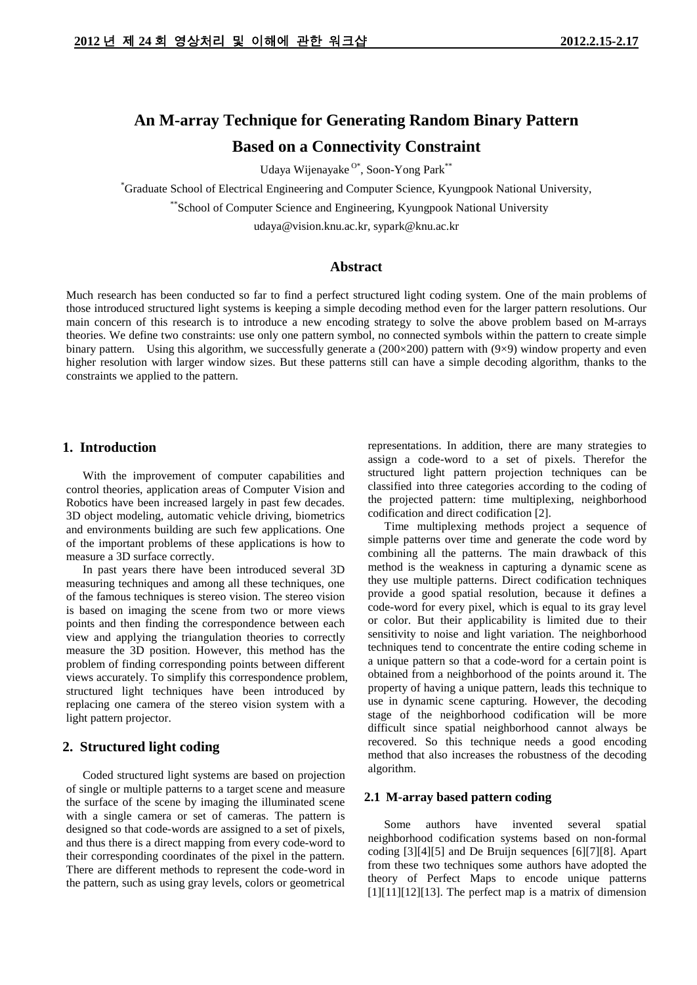# **An M-array Technique for Generating Random Binary Pattern Based on a Connectivity Constraint**

Udaya Wijenayake<sup>0\*</sup>, Soon-Yong Park<sup>\*\*</sup>

\* Graduate School of Electrical Engineering and Computer Science, Kyungpook National University,

\*\*School of Computer Science and Engineering, Kyungpook National University

udaya@vision.knu.ac.kr, sypark@knu.ac.kr

# **Abstract**

Much research has been conducted so far to find a perfect structured light coding system. One of the main problems of those introduced structured light systems is keeping a simple decoding method even for the larger pattern resolutions. Our main concern of this research is to introduce a new encoding strategy to solve the above problem based on M-arrays theories. We define two constraints: use only one pattern symbol, no connected symbols within the pattern to create simple binary pattern. Using this algorithm, we successfully generate a (200×200) pattern with (9×9) window property and even higher resolution with larger window sizes. But these patterns still can have a simple decoding algorithm, thanks to the constraints we applied to the pattern.

# **1. Introduction**

With the improvement of computer capabilities and control theories, application areas of Computer Vision and Robotics have been increased largely in past few decades. 3D object modeling, automatic vehicle driving, biometrics and environments building are such few applications. One of the important problems of these applications is how to measure a 3D surface correctly.

In past years there have been introduced several 3D measuring techniques and among all these techniques, one of the famous techniques is stereo vision. The stereo vision is based on imaging the scene from two or more views points and then finding the correspondence between each view and applying the triangulation theories to correctly measure the 3D position. However, this method has the problem of finding corresponding points between different views accurately. To simplify this correspondence problem, structured light techniques have been introduced by replacing one camera of the stereo vision system with a light pattern projector.

## **2. Structured light coding**

Coded structured light systems are based on projection of single or multiple patterns to a target scene and measure the surface of the scene by imaging the illuminated scene with a single camera or set of cameras. The pattern is designed so that code-words are assigned to a set of pixels, and thus there is a direct mapping from every code-word to their corresponding coordinates of the pixel in the pattern. There are different methods to represent the code-word in the pattern, such as using gray levels, colors or geometrical representations. In addition, there are many strategies to assign a code-word to a set of pixels. Therefor the structured light pattern projection techniques can be classified into three categories according to the coding of the projected pattern: time multiplexing, neighborhood codification and direct codification [\[2\].](#page-3-0)

Time multiplexing methods project a sequence of simple patterns over time and generate the code word by combining all the patterns. The main drawback of this method is the weakness in capturing a dynamic scene as they use multiple patterns. Direct codification techniques provide a good spatial resolution, because it defines a code-word for every pixel, which is equal to its gray level or color. But their applicability is limited due to their sensitivity to noise and light variation. The neighborhood techniques tend to concentrate the entire coding scheme in a unique pattern so that a code-word for a certain point is obtained from a neighborhood of the points around it. The property of having a unique pattern, leads this technique to use in dynamic scene capturing. However, the decoding stage of the neighborhood codification will be more difficult since spatial neighborhood cannot always be recovered. So this technique needs a good encoding method that also increases the robustness of the decoding algorithm.

#### **2.1 M-array based pattern coding**

Some authors have invented several spatial neighborhood codification systems based on non-formal coding [\[3\]\[4\]](#page-3-1)[\[5\]](#page-3-2) and De Bruijn sequences [\[6\]\[7\]](#page-3-3)[\[8\].](#page-3-4) Apart from these two techniques some authors have adopted the theory of Perfect Maps to encode unique patterns  $[1][11][12][13]$  $[1][11][12][13]$ . The perfect map is a matrix of dimension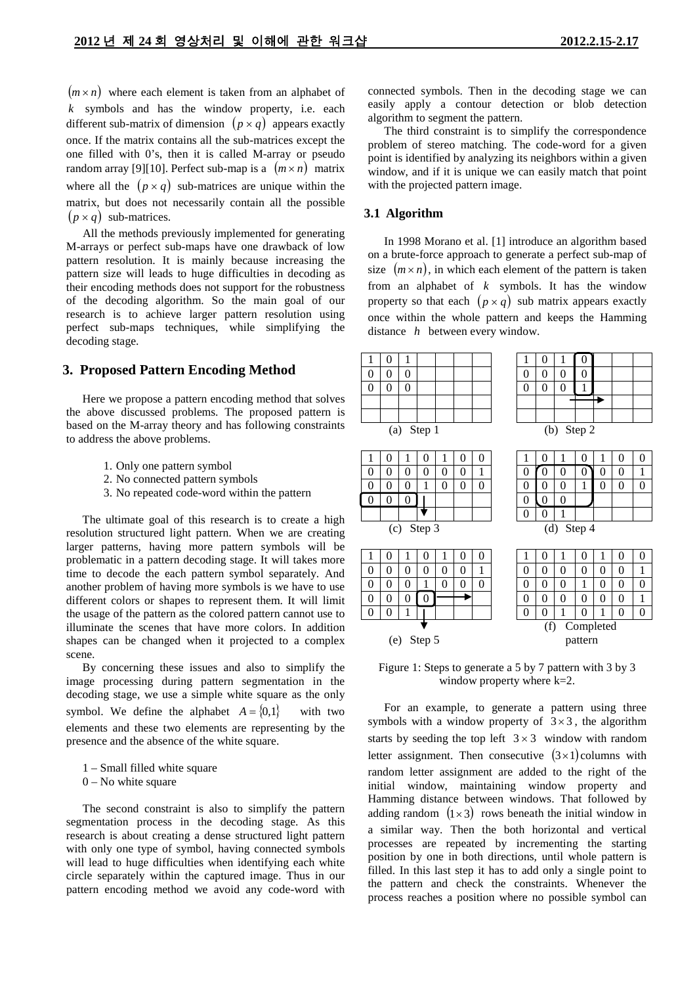$(m \times n)$  where each element is taken from an alphabet of *k* symbols and has the window property, i.e. each different sub-matrix of dimension  $(p \times q)$  appears exactly once. If the matrix contains all the sub-matrices except the one filled with 0's, then it is called M-array or pseudo random array [\[9\]\[10\].](#page-3-7) Perfect sub-map is a  $(m \times n)$  matrix where all the  $(p \times q)$  sub-matrices are unique within the matrix, but does not necessarily contain all the possible  $(p \times q)$  sub-matrices.

All the methods previously implemented for generating M-arrays or perfect sub-maps have one drawback of low pattern resolution. It is mainly because increasing the pattern size will leads to huge difficulties in decoding as their encoding methods does not support for the robustness of the decoding algorithm. So the main goal of our research is to achieve larger pattern resolution using perfect sub-maps techniques, while simplifying the decoding stage.

#### **3. Proposed Pattern Encoding Method**

Here we propose a pattern encoding method that solves the above discussed problems. The proposed pattern is based on the M-array theory and has following constraints to address the above problems.

- 1. Only one pattern symbol
- 2. No connected pattern symbols
- 3. No repeated code-word within the pattern

The ultimate goal of this research is to create a high resolution structured light pattern. When we are creating larger patterns, having more pattern symbols will be problematic in a pattern decoding stage. It will takes more time to decode the each pattern symbol separately. And another problem of having more symbols is we have to use different colors or shapes to represent them. It will limit the usage of the pattern as the colored pattern cannot use to illuminate the scenes that have more colors. In addition shapes can be changed when it projected to a complex scene.

By concerning these issues and also to simplify the image processing during pattern segmentation in the decoding stage, we use a simple white square as the only symbol. We define the alphabet  $A = \{0,1\}$  with two elements and these two elements are representing by the presence and the absence of the white square.

1 – Small filled white square

 $0 - No$  white square

The second constraint is also to simplify the pattern segmentation process in the decoding stage. As this research is about creating a dense structured light pattern with only one type of symbol, having connected symbols will lead to huge difficulties when identifying each white circle separately within the captured image. Thus in our pattern encoding method we avoid any code-word with connected symbols. Then in the decoding stage we can easily apply a contour detection or blob detection algorithm to segment the pattern.

The third constraint is to simplify the correspondence problem of stereo matching. The code-word for a given point is identified by analyzing its neighbors within a given window, and if it is unique we can easily match that point with the projected pattern image.

## **3.1 Algorithm**

In 1998 Morano et al. [\[1\]](#page-3-5) introduce an algorithm based on a brute-force approach to generate a perfect sub-map of size  $(m \times n)$ , in which each element of the pattern is taken from an alphabet of *k* symbols. It has the window property so that each  $(p \times q)$  sub matrix appears exactly once within the whole pattern and keeps the Hamming distance *h* between every window.



<span id="page-1-0"></span>Figure 1: Steps to generate a 5 by 7 pattern with 3 by 3 window property where k=2.

For an example, to generate a pattern using three symbols with a window property of  $3 \times 3$ , the algorithm starts by seeding the top left  $3 \times 3$  window with random letter assignment. Then consecutive  $(3 \times 1)$  columns with random letter assignment are added to the right of the initial window, maintaining window property and Hamming distance between windows. That followed by adding random  $(1 \times 3)$  rows beneath the initial window in a similar way. Then the both horizontal and vertical processes are repeated by incrementing the starting position by one in both directions, until whole pattern is filled. In this last step it has to add only a single point to the pattern and check the constraints. Whenever the process reaches a position where no possible symbol can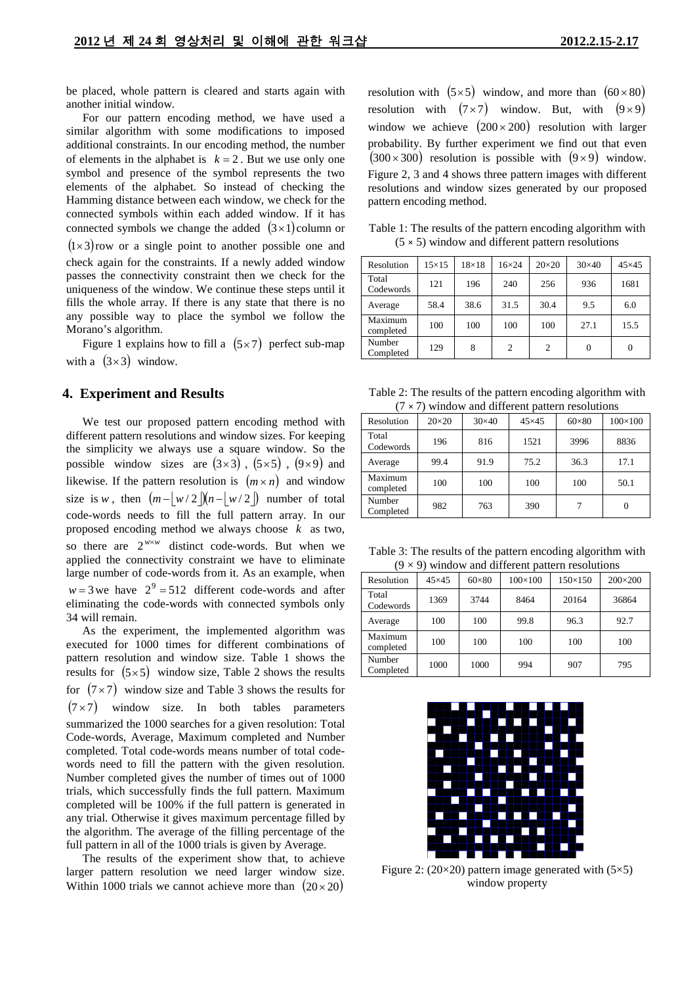be placed, whole pattern is cleared and starts again with another initial window.

For our pattern encoding method, we have used a similar algorithm with some modifications to imposed additional constraints. In our encoding method, the number of elements in the alphabet is  $k = 2$ . But we use only one symbol and presence of the symbol represents the two elements of the alphabet. So instead of checking the Hamming distance between each window, we check for the connected symbols within each added window. If it has connected symbols we change the added  $(3\times1)$  column or  $(1\times3)$ row or a single point to another possible one and check again for the constraints. If a newly added window passes the connectivity constraint then we check for the uniqueness of the window. We continue these steps until it fills the whole array. If there is any state that there is no any possible way t[o place the symbol we follow the](#page-1-0)  Morano's algorithm.

[Figure](#page-1-0) 1 explains how to fill a  $(5\times7)$  perfect sub-map with a  $(3\times3)$  window.

#### **4. Experiment and Results**

We test our proposed pattern encoding method with different pattern resolutions and window sizes. For keeping the simplicity we always use a square window. So the possible window sizes are  $(3\times3)$ ,  $(5\times5)$ ,  $(9\times9)$  and likewise. If the pattern resolution is  $(m \times n)$  and window size is *w*, then  $(m - |w/2|)(n - |w/2|)$  number of total code-words needs to fill the full pattern array. In our proposed encoding method we always choose *k* as two, so there are  $2^{w \times w}$  distinct code-words. But when we applied the connectivity constraint we have to eliminate large number of code-words from it. As an example, when  $w = 3$  we have  $2^9 = 512$  different code-words and after eliminating the code-words with connected symbols only 34 will remain.

As the experiment, the implemented algorithm was executed for 1000 times for different combinations of pattern resolution and window size. [Table 1](#page-2-0) shows the results for  $(5\times5)$  window size, [Table 2](#page-2-1) shows the results for  $(7 \times 7)$  window size and [Table 3](#page-2-2) shows the results for  $(7 \times 7)$  window size. In both tables parameters summarized the 1000 searches for a given resolution: Total Code-words, Average, Maximum completed and Number completed. Total code-words means number of total codewords need to fill the pattern with the given resolution. Number completed gives the number of times out of 1000 trials, which successfully finds the full pattern. Maximum completed will be 100% if the full pattern is generated in any trial. Otherwise it gives maximum percentage filled by the algorithm. The average of the filling percentage of the full pattern in all of the 1000 trials is given by Average.

The results of the experiment show that, to achieve larger pattern resolution we need larger window size. Within 1000 trials we cannot achieve more than  $(20 \times 20)$ 

resolution with  $(5\times5)$  window, and more than  $(60\times80)$ resolution with  $(7 \times 7)$  window. But, with  $(9 \times 9)$ window we achieve  $(200 \times 200)$  resolution with larger probability. By further experiment we find out that even  $(300 \times 300)$  resolution is possible with  $(9 \times 9)$  window. Figure 2, 3 and 4 shows three pattern images with different resolutions and window sizes generated by our proposed pattern encoding method.

<span id="page-2-0"></span>Table 1: The results of the pattern encoding algorithm with (5 **×** 5) window and different pattern resolutions

| Resolution           | $15 \times 15$ | $18\times18$ | $16\times24$   | $20\times20$   | $30\times40$ | $45\times45$ |
|----------------------|----------------|--------------|----------------|----------------|--------------|--------------|
| Total<br>Codewords   | 121            | 196          | 240            | 256            | 936          | 1681         |
| Average              | 58.4           | 38.6         | 31.5           | 30.4           | 9.5          | 6.0          |
| Maximum<br>completed | 100            | 100          | 100            | 100            | 27.1         | 15.5         |
| Number<br>Completed  | 129            | 8            | $\overline{c}$ | $\overline{c}$ | $\theta$     |              |

<span id="page-2-1"></span>Table 2: The results of the pattern encoding algorithm with (7 **×** 7) window and different pattern resolutions

| Resolution           | $20\times20$ | $30\times40$ | $45\times45$ | $60\times80$ | $100\times100$ |
|----------------------|--------------|--------------|--------------|--------------|----------------|
| Total<br>Codewords   | 196          | 816          | 1521         | 3996         | 8836           |
| Average              | 99.4         | 91.9         | 75.2         | 36.3         | 17.1           |
| Maximum<br>completed | 100          | 100          | 100          | 100          | 50.1           |
| Number<br>Completed  | 982          | 763          | 390          |              | 0              |

<span id="page-2-2"></span>Table 3: The results of the pattern encoding algorithm with  $(0 \times 0)$  window and different pattern resolutions

| $\sigma \sim \sigma$ while walled through the pattern resolutions |               |              |                |                |                  |  |  |
|-------------------------------------------------------------------|---------------|--------------|----------------|----------------|------------------|--|--|
| Resolution                                                        | $45\times 45$ | $60\times80$ | $100\times100$ | $150\times150$ | $200 \times 200$ |  |  |
| Total<br>Codewords                                                | 1369          | 3744         | 8464           | 20164          | 36864            |  |  |
| Average                                                           | 100           | 100          | 99.8           | 96.3           | 92.7             |  |  |
| Maximum<br>completed                                              | 100           | 100          | 100            | 100            | 100              |  |  |
| Number<br>Completed                                               | 1000          | 1000         | 994            | 907            | 795              |  |  |



Figure 2: (20 $\times$ 20) pattern image generated with (5 $\times$ 5) window property